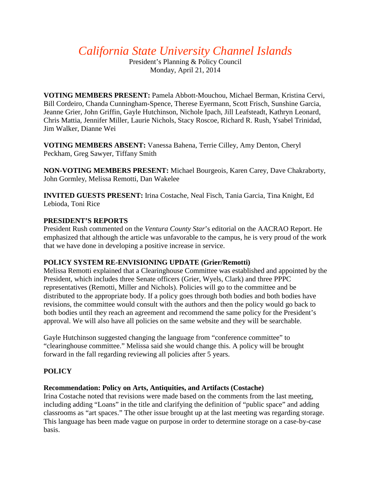*California State University Channel Islands*

President's Planning & Policy Council Monday, April 21, 2014

**VOTING MEMBERS PRESENT:** Pamela Abbott-Mouchou, Michael Berman, Kristina Cervi, Bill Cordeiro, Chanda Cunningham-Spence, Therese Eyermann, Scott Frisch, Sunshine Garcia, Jeanne Grier, John Griffin, Gayle Hutchinson, Nichole Ipach, Jill Leafsteadt, Kathryn Leonard, Chris Mattia, Jennifer Miller, Laurie Nichols, Stacy Roscoe, Richard R. Rush, Ysabel Trinidad, Jim Walker, Dianne Wei

**VOTING MEMBERS ABSENT:** Vanessa Bahena, Terrie Cilley, Amy Denton, Cheryl Peckham, Greg Sawyer, Tiffany Smith

**NON-VOTING MEMBERS PRESENT:** Michael Bourgeois, Karen Carey, Dave Chakraborty, John Gormley, Melissa Remotti, Dan Wakelee

**INVITED GUESTS PRESENT:** Irina Costache, Neal Fisch, Tania Garcia, Tina Knight, Ed Lebioda, Toni Rice

# **PRESIDENT'S REPORTS**

President Rush commented on the *Ventura County Star*'s editorial on the AACRAO Report. He emphasized that although the article was unfavorable to the campus, he is very proud of the work that we have done in developing a positive increase in service.

# **POLICY SYSTEM RE-ENVISIONING UPDATE (Grier/Remotti)**

Melissa Remotti explained that a Clearinghouse Committee was established and appointed by the President, which includes three Senate officers (Grier, Wyels, Clark) and three PPPC representatives (Remotti, Miller and Nichols). Policies will go to the committee and be distributed to the appropriate body. If a policy goes through both bodies and both bodies have revisions, the committee would consult with the authors and then the policy would go back to both bodies until they reach an agreement and recommend the same policy for the President's approval. We will also have all policies on the same website and they will be searchable.

Gayle Hutchinson suggested changing the language from "conference committee" to "clearinghouse committee." Melissa said she would change this. A policy will be brought forward in the fall regarding reviewing all policies after 5 years.

# **POLICY**

## **Recommendation: Policy on Arts, Antiquities, and Artifacts (Costache)**

Irina Costache noted that revisions were made based on the comments from the last meeting, including adding "Loans" in the title and clarifying the definition of "public space" and adding classrooms as "art spaces." The other issue brought up at the last meeting was regarding storage. This language has been made vague on purpose in order to determine storage on a case-by-case basis.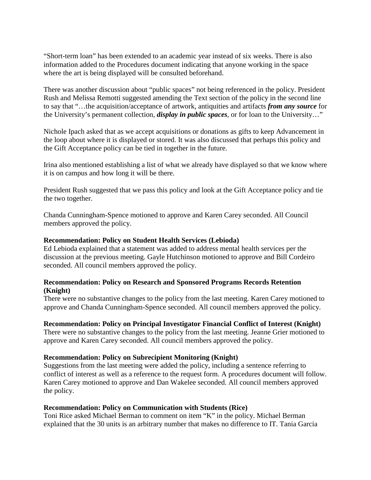"Short-term loan" has been extended to an academic year instead of six weeks. There is also information added to the Procedures document indicating that anyone working in the space where the art is being displayed will be consulted beforehand.

There was another discussion about "public spaces" not being referenced in the policy. President Rush and Melissa Remotti suggested amending the Text section of the policy in the second line to say that "…the acquisition/acceptance of artwork, antiquities and artifacts *from any source* for the University's permanent collection, *display in public spaces,* or for loan to the University…"

Nichole Ipach asked that as we accept acquisitions or donations as gifts to keep Advancement in the loop about where it is displayed or stored. It was also discussed that perhaps this policy and the Gift Acceptance policy can be tied in together in the future.

Irina also mentioned establishing a list of what we already have displayed so that we know where it is on campus and how long it will be there.

President Rush suggested that we pass this policy and look at the Gift Acceptance policy and tie the two together.

Chanda Cunningham-Spence motioned to approve and Karen Carey seconded. All Council members approved the policy.

#### **Recommendation: Policy on Student Health Services (Lebioda)**

Ed Lebioda explained that a statement was added to address mental health services per the discussion at the previous meeting. Gayle Hutchinson motioned to approve and Bill Cordeiro seconded. All council members approved the policy.

## **Recommendation: Policy on Research and Sponsored Programs Records Retention (Knight)**

There were no substantive changes to the policy from the last meeting. Karen Carey motioned to approve and Chanda Cunningham-Spence seconded. All council members approved the policy.

#### **Recommendation: Policy on Principal Investigator Financial Conflict of Interest (Knight)**

There were no substantive changes to the policy from the last meeting. Jeanne Grier motioned to approve and Karen Carey seconded. All council members approved the policy.

#### **Recommendation: Policy on Subrecipient Monitoring (Knight)**

Suggestions from the last meeting were added the policy, including a sentence referring to conflict of interest as well as a reference to the request form. A procedures document will follow. Karen Carey motioned to approve and Dan Wakelee seconded. All council members approved the policy.

#### **Recommendation: Policy on Communication with Students (Rice)**

Toni Rice asked Michael Berman to comment on item "K" in the policy. Michael Berman explained that the 30 units is an arbitrary number that makes no difference to IT. Tania Garcia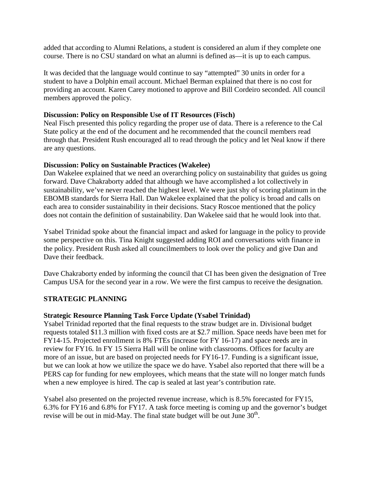added that according to Alumni Relations, a student is considered an alum if they complete one course. There is no CSU standard on what an alumni is defined as—it is up to each campus.

It was decided that the language would continue to say "attempted" 30 units in order for a student to have a Dolphin email account. Michael Berman explained that there is no cost for providing an account. Karen Carey motioned to approve and Bill Cordeiro seconded. All council members approved the policy.

## **Discussion: Policy on Responsible Use of IT Resources (Fisch)**

Neal Fisch presented this policy regarding the proper use of data. There is a reference to the Cal State policy at the end of the document and he recommended that the council members read through that. President Rush encouraged all to read through the policy and let Neal know if there are any questions.

## **Discussion: Policy on Sustainable Practices (Wakelee)**

Dan Wakelee explained that we need an overarching policy on sustainability that guides us going forward. Dave Chakraborty added that although we have accomplished a lot collectively in sustainability, we've never reached the highest level. We were just shy of scoring platinum in the EBOMB standards for Sierra Hall. Dan Wakelee explained that the policy is broad and calls on each area to consider sustainability in their decisions. Stacy Roscoe mentioned that the policy does not contain the definition of sustainability. Dan Wakelee said that he would look into that.

Ysabel Trinidad spoke about the financial impact and asked for language in the policy to provide some perspective on this. Tina Knight suggested adding ROI and conversations with finance in the policy. President Rush asked all councilmembers to look over the policy and give Dan and Dave their feedback.

Dave Chakraborty ended by informing the council that CI has been given the designation of Tree Campus USA for the second year in a row. We were the first campus to receive the designation.

# **STRATEGIC PLANNING**

## **Strategic Resource Planning Task Force Update (Ysabel Trinidad)**

Ysabel Trinidad reported that the final requests to the straw budget are in. Divisional budget requests totaled \$11.3 million with fixed costs are at \$2.7 million. Space needs have been met for FY14-15. Projected enrollment is 8% FTEs (increase for FY 16-17) and space needs are in review for FY16. In FY 15 Sierra Hall will be online with classrooms. Offices for faculty are more of an issue, but are based on projected needs for FY16-17. Funding is a significant issue, but we can look at how we utilize the space we do have. Ysabel also reported that there will be a PERS cap for funding for new employees, which means that the state will no longer match funds when a new employee is hired. The cap is sealed at last year's contribution rate.

Ysabel also presented on the projected revenue increase, which is 8.5% forecasted for FY15, 6.3% for FY16 and 6.8% for FY17. A task force meeting is coming up and the governor's budget revise will be out in mid-May. The final state budget will be out June  $30<sup>th</sup>$ .